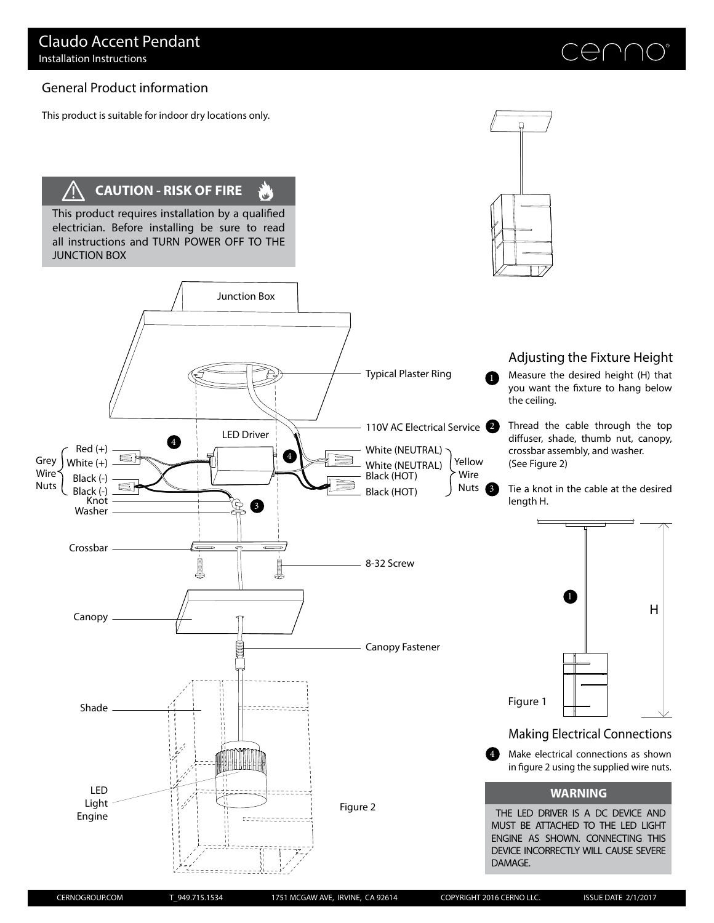# General Product information

This product is suitable for indoor dry locations only.

# **CAUTION - RISK OF FIRE**

This product requires installation by a qualified electrician. Before installing be sure to read all instructions and TURN POWER OFF TO THE JUNCTION BOX

4

LED Driver

6

4

annanna

00000000000

Junction Box

 $\mathbf{u}'$ 



Adjusting the Fixture Height

Measure the desired height (H) that you want the fixture to hang below the ceiling.

Thread the cable through the top diffuser, shade, thumb nut, canopy, crossbar assembly, and washer. (See Figure 2)

Tie a knot in the cable at the desired length H.



Make electrical connections as shown in figure 2 using the supplied wire nuts. 4

### **WARNING**

THE LED DRIVER IS A DC DEVICE AND MUST BE ATTACHED TO THE LED LIGHT ENGINE AS SHOWN. CONNECTING THIS DEVICE INCORRECTLY WILL CAUSE SEVERE DAMAGE.

Black (-)

Grey | White  $(+)$ 

Wire Nuts

Black (-)

Crossbar

Canopy

Shade

LED Light Engine

Knot Washer

 $Red (+)$ 

Figure 2

3 Nuts

Yellow Wire

0

110V AC Electrical Service

Black (HOT)

Black (HOT)

8-32 Screw

Canopy Fastener

White (NEUTRAL)

Typical Plaster Ring

White (NEUTRAL)